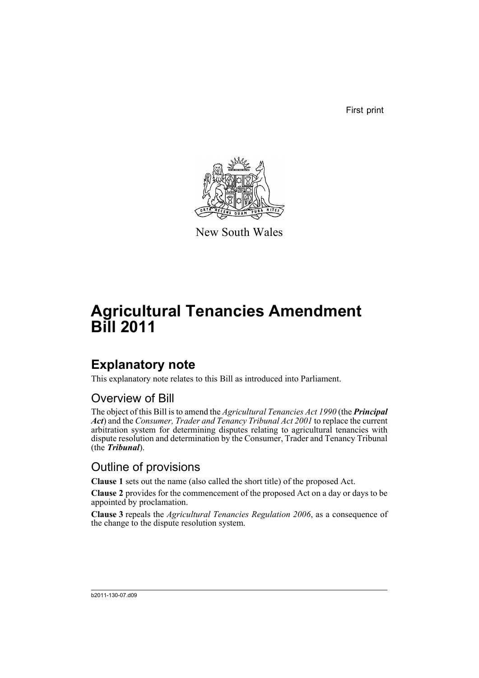First print



New South Wales

# **Agricultural Tenancies Amendment Bill 2011**

### **Explanatory note**

This explanatory note relates to this Bill as introduced into Parliament.

### Overview of Bill

The object of this Bill is to amend the *Agricultural Tenancies Act 1990* (the *Principal Act*) and the *Consumer, Trader and Tenancy Tribunal Act 2001* to replace the current arbitration system for determining disputes relating to agricultural tenancies with dispute resolution and determination by the Consumer, Trader and Tenancy Tribunal (the *Tribunal*).

### Outline of provisions

**Clause 1** sets out the name (also called the short title) of the proposed Act.

**Clause 2** provides for the commencement of the proposed Act on a day or days to be appointed by proclamation.

**Clause 3** repeals the *Agricultural Tenancies Regulation 2006*, as a consequence of the change to the dispute resolution system.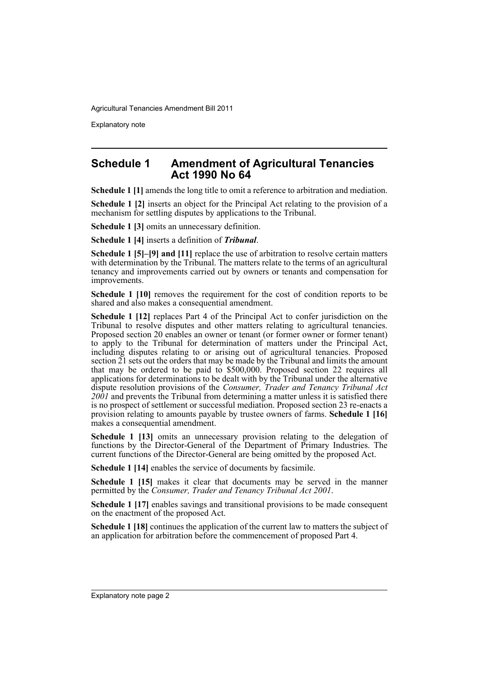Explanatory note

#### **Schedule 1 Amendment of Agricultural Tenancies Act 1990 No 64**

**Schedule 1 [1]** amends the long title to omit a reference to arbitration and mediation.

**Schedule 1 [2]** inserts an object for the Principal Act relating to the provision of a mechanism for settling disputes by applications to the Tribunal.

**Schedule 1 [3]** omits an unnecessary definition.

**Schedule 1 [4]** inserts a definition of *Tribunal*.

**Schedule 1 [5]–[9] and [11]** replace the use of arbitration to resolve certain matters with determination by the Tribunal. The matters relate to the terms of an agricultural tenancy and improvements carried out by owners or tenants and compensation for improvements.

**Schedule 1 [10]** removes the requirement for the cost of condition reports to be shared and also makes a consequential amendment.

**Schedule 1 [12]** replaces Part 4 of the Principal Act to confer jurisdiction on the Tribunal to resolve disputes and other matters relating to agricultural tenancies. Proposed section 20 enables an owner or tenant (or former owner or former tenant) to apply to the Tribunal for determination of matters under the Principal Act, including disputes relating to or arising out of agricultural tenancies. Proposed section 21 sets out the orders that may be made by the Tribunal and limits the amount that may be ordered to be paid to \$500,000. Proposed section 22 requires all applications for determinations to be dealt with by the Tribunal under the alternative dispute resolution provisions of the *Consumer, Trader and Tenancy Tribunal Act* 2001 and prevents the Tribunal from determining a matter unless it is satisfied there is no prospect of settlement or successful mediation. Proposed section 23 re-enacts a provision relating to amounts payable by trustee owners of farms. **Schedule 1 [16]** makes a consequential amendment.

**Schedule 1 [13]** omits an unnecessary provision relating to the delegation of functions by the Director-General of the Department of Primary Industries. The current functions of the Director-General are being omitted by the proposed Act.

**Schedule 1 [14]** enables the service of documents by facsimile.

**Schedule 1 [15]** makes it clear that documents may be served in the manner permitted by the *Consumer, Trader and Tenancy Tribunal Act 2001*.

**Schedule 1 [17]** enables savings and transitional provisions to be made consequent on the enactment of the proposed Act.

**Schedule 1 [18]** continues the application of the current law to matters the subject of an application for arbitration before the commencement of proposed Part 4.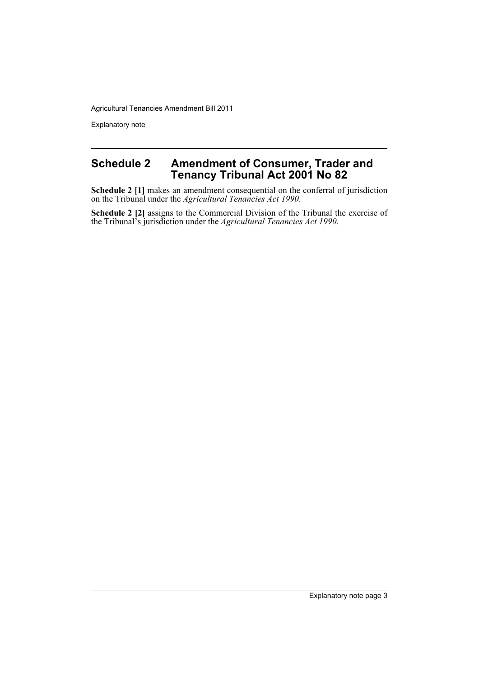Explanatory note

#### **Schedule 2 Amendment of Consumer, Trader and Tenancy Tribunal Act 2001 No 82**

**Schedule 2 [1]** makes an amendment consequential on the conferral of jurisdiction on the Tribunal under the *Agricultural Tenancies Act 1990*.

**Schedule 2 [2]** assigns to the Commercial Division of the Tribunal the exercise of the Tribunal's jurisdiction under the *Agricultural Tenancies Act 1990*.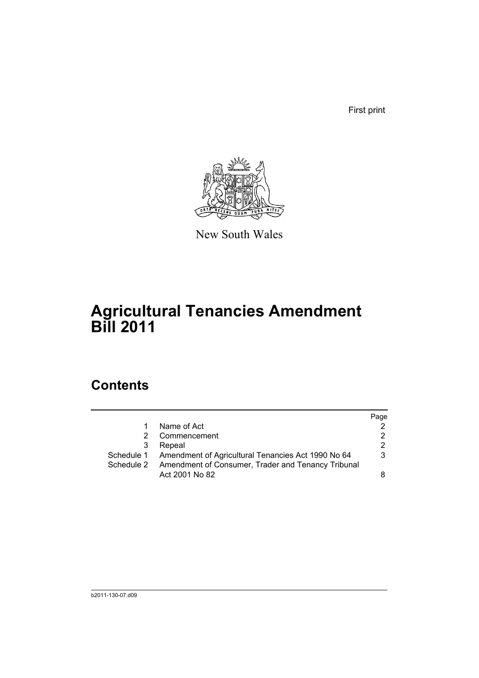First print



New South Wales

# **Agricultural Tenancies Amendment Bill 2011**

### **Contents**

|                | Page                                                                                                                |
|----------------|---------------------------------------------------------------------------------------------------------------------|
| Name of Act    |                                                                                                                     |
| Commencement   |                                                                                                                     |
| Repeal         |                                                                                                                     |
|                | 3                                                                                                                   |
|                |                                                                                                                     |
| Act 2001 No 82 |                                                                                                                     |
|                | Schedule 1 Amendment of Agricultural Tenancies Act 1990 No 64<br>Amendment of Consumer, Trader and Tenancy Tribunal |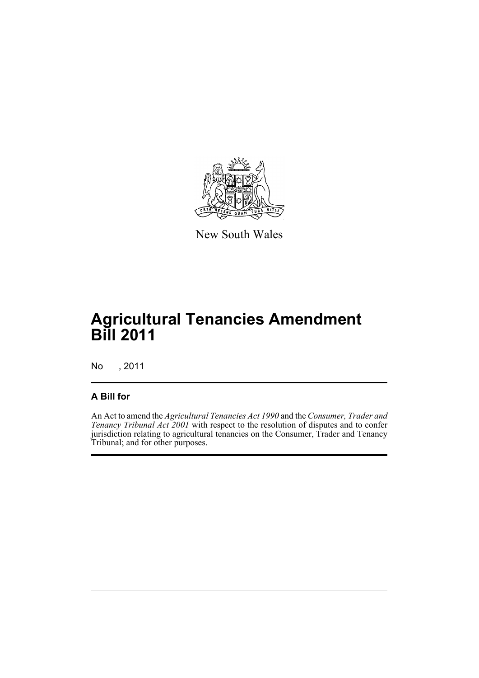

New South Wales

## **Agricultural Tenancies Amendment Bill 2011**

No , 2011

#### **A Bill for**

An Act to amend the *Agricultural Tenancies Act 1990* and the *Consumer, Trader and Tenancy Tribunal Act 2001* with respect to the resolution of disputes and to confer jurisdiction relating to agricultural tenancies on the Consumer, Trader and Tenancy Tribunal; and for other purposes.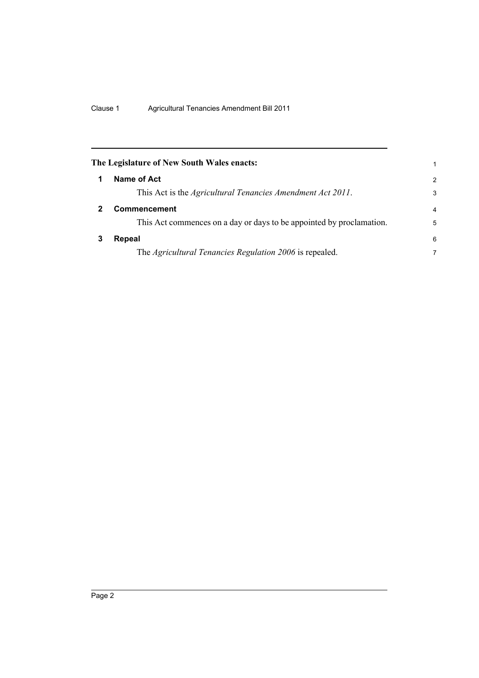<span id="page-7-2"></span><span id="page-7-1"></span><span id="page-7-0"></span>

|   | The Legislature of New South Wales enacts:                           | 1                       |
|---|----------------------------------------------------------------------|-------------------------|
|   | Name of Act                                                          | $\mathcal{P}$           |
|   | This Act is the <i>Agricultural Tenancies Amendment Act 2011</i> .   | 3                       |
|   | Commencement                                                         | $\overline{\mathbf{4}}$ |
|   | This Act commences on a day or days to be appointed by proclamation. | 5                       |
| 3 | Repeal                                                               | 6                       |
|   | The Agricultural Tenancies Regulation 2006 is repealed.              | 7                       |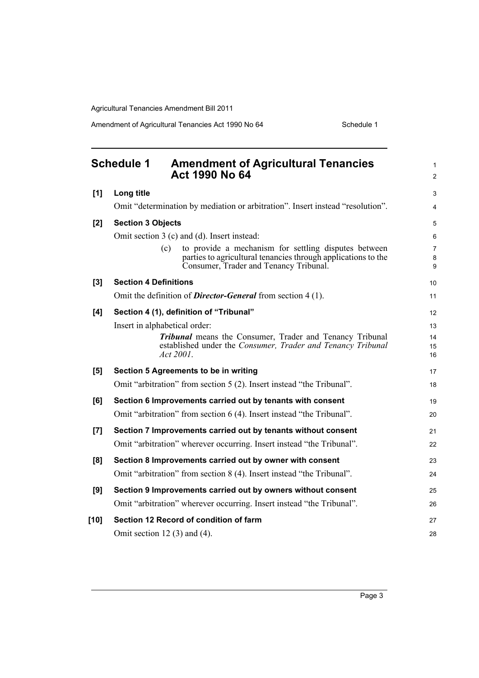Amendment of Agricultural Tenancies Act 1990 No 64 Schedule 1

<span id="page-8-0"></span>

|        | <b>Schedule 1</b><br><b>Amendment of Agricultural Tenancies</b><br>Act 1990 No 64                                                                                      | 1<br>$\overline{c}$ |
|--------|------------------------------------------------------------------------------------------------------------------------------------------------------------------------|---------------------|
| [1]    | Long title                                                                                                                                                             | 3                   |
|        | Omit "determination by mediation or arbitration". Insert instead "resolution".                                                                                         | 4                   |
| [2]    | <b>Section 3 Objects</b>                                                                                                                                               | 5                   |
|        | Omit section 3 (c) and (d). Insert instead:                                                                                                                            | 6                   |
|        | to provide a mechanism for settling disputes between<br>(c)<br>parties to agricultural tenancies through applications to the<br>Consumer, Trader and Tenancy Tribunal. | 7<br>8<br>9         |
| [3]    | <b>Section 4 Definitions</b>                                                                                                                                           | 10                  |
|        | Omit the definition of <b>Director-General</b> from section $4(1)$ .                                                                                                   | 11                  |
| [4]    | Section 4 (1), definition of "Tribunal"                                                                                                                                | 12                  |
|        | Insert in alphabetical order:                                                                                                                                          | 13                  |
|        | Tribunal means the Consumer, Trader and Tenancy Tribunal<br>established under the Consumer, Trader and Tenancy Tribunal<br>Act 2001.                                   | 14<br>15<br>16      |
| [5]    | Section 5 Agreements to be in writing                                                                                                                                  | 17                  |
|        | Omit "arbitration" from section 5 (2). Insert instead "the Tribunal".                                                                                                  | 18                  |
| [6]    | Section 6 Improvements carried out by tenants with consent                                                                                                             | 19                  |
|        | Omit "arbitration" from section 6 (4). Insert instead "the Tribunal".                                                                                                  | 20                  |
| [7]    | Section 7 Improvements carried out by tenants without consent                                                                                                          | 21                  |
|        | Omit "arbitration" wherever occurring. Insert instead "the Tribunal".                                                                                                  | 22                  |
| [8]    | Section 8 Improvements carried out by owner with consent                                                                                                               | 23                  |
|        | Omit "arbitration" from section 8 (4). Insert instead "the Tribunal".                                                                                                  | 24                  |
| [9]    | Section 9 Improvements carried out by owners without consent                                                                                                           | 25                  |
|        | Omit "arbitration" wherever occurring. Insert instead "the Tribunal".                                                                                                  | 26                  |
| $[10]$ | Section 12 Record of condition of farm                                                                                                                                 | 27                  |
|        | Omit section 12 $(3)$ and $(4)$ .                                                                                                                                      | 28                  |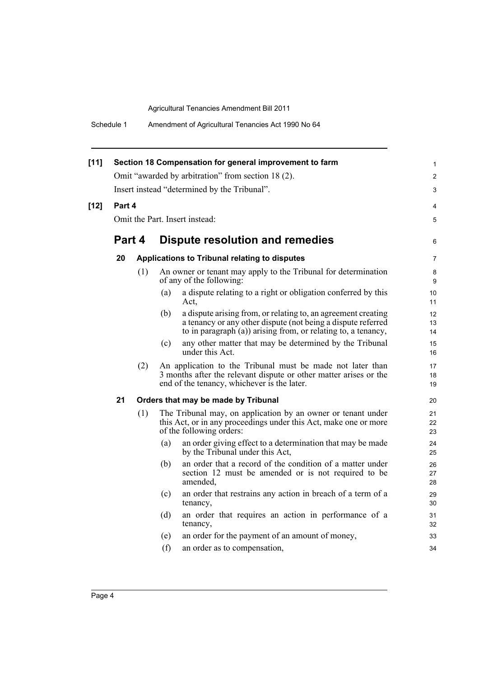| Schedule 1 |  | Amendment of Agricultural Tenancies Act 1990 No 64 |
|------------|--|----------------------------------------------------|
|------------|--|----------------------------------------------------|

| $[11]$ |                                                    |     |                                               | Section 18 Compensation for general improvement to farm                                                                                                                                        | 1<br>2         |
|--------|----------------------------------------------------|-----|-----------------------------------------------|------------------------------------------------------------------------------------------------------------------------------------------------------------------------------------------------|----------------|
|        | Omit "awarded by arbitration" from section 18 (2). |     |                                               |                                                                                                                                                                                                |                |
|        | Insert instead "determined by the Tribunal".       |     |                                               |                                                                                                                                                                                                |                |
| $[12]$ | Part 4                                             |     |                                               |                                                                                                                                                                                                | 4              |
|        | Omit the Part. Insert instead:                     |     |                                               |                                                                                                                                                                                                |                |
|        | Part 4                                             |     |                                               | Dispute resolution and remedies                                                                                                                                                                | 6              |
|        | 20                                                 |     | Applications to Tribunal relating to disputes |                                                                                                                                                                                                |                |
|        |                                                    | (1) |                                               | An owner or tenant may apply to the Tribunal for determination<br>of any of the following:                                                                                                     | 8<br>9         |
|        |                                                    |     | (a)                                           | a dispute relating to a right or obligation conferred by this<br>Act.                                                                                                                          | 10<br>11       |
|        |                                                    |     | (b)                                           | a dispute arising from, or relating to, an agreement creating<br>a tenancy or any other dispute (not being a dispute referred<br>to in paragraph (a)) arising from, or relating to, a tenancy, | 12<br>13<br>14 |
|        |                                                    |     | (c)                                           | any other matter that may be determined by the Tribunal<br>under this Act.                                                                                                                     | 15<br>16       |
|        |                                                    | (2) |                                               | An application to the Tribunal must be made not later than<br>3 months after the relevant dispute or other matter arises or the<br>end of the tenancy, whichever is the later.                 | 17<br>18<br>19 |
|        | 21                                                 |     |                                               | Orders that may be made by Tribunal                                                                                                                                                            | 20             |
|        |                                                    | (1) |                                               | The Tribunal may, on application by an owner or tenant under<br>this Act, or in any proceedings under this Act, make one or more<br>of the following orders:                                   | 21<br>22<br>23 |
|        |                                                    |     | (a)                                           | an order giving effect to a determination that may be made<br>by the Tribunal under this Act,                                                                                                  | 24<br>25       |
|        |                                                    |     | (b)                                           | an order that a record of the condition of a matter under<br>section 12 must be amended or is not required to be<br>amended.                                                                   | 26<br>27<br>28 |
|        |                                                    |     | (c)                                           | an order that restrains any action in breach of a term of a<br>tenancy,                                                                                                                        | 29<br>30       |
|        |                                                    |     | (d)                                           | an order that requires an action in performance of a<br>tenancy,                                                                                                                               | 31<br>32       |
|        |                                                    |     | (e)                                           | an order for the payment of an amount of money,                                                                                                                                                | 33             |
|        |                                                    |     | (f)                                           | an order as to compensation,                                                                                                                                                                   | 34             |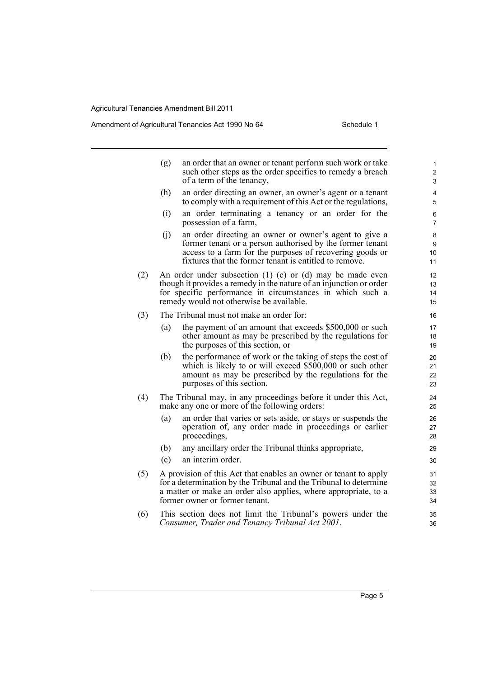#### Amendment of Agricultural Tenancies Act 1990 No 64 Schedule 1

|     | (g) | an order that an owner or tenant perform such work or take<br>such other steps as the order specifies to remedy a breach<br>of a term of the tenancy,                                                                                           | 1<br>$\overline{\mathbf{c}}$<br>3 |
|-----|-----|-------------------------------------------------------------------------------------------------------------------------------------------------------------------------------------------------------------------------------------------------|-----------------------------------|
|     | (h) | an order directing an owner, an owner's agent or a tenant<br>to comply with a requirement of this Act or the regulations,                                                                                                                       | 4<br>5                            |
|     | (i) | an order terminating a tenancy or an order for the<br>possession of a farm,                                                                                                                                                                     | 6<br>$\overline{7}$               |
|     | (i) | an order directing an owner or owner's agent to give a<br>former tenant or a person authorised by the former tenant<br>access to a farm for the purposes of recovering goods or<br>fixtures that the former tenant is entitled to remove.       | 8<br>9<br>10<br>11                |
| (2) |     | An order under subsection $(1)$ $(c)$ or $(d)$ may be made even<br>though it provides a remedy in the nature of an injunction or order<br>for specific performance in circumstances in which such a<br>remedy would not otherwise be available. | 12<br>13<br>14<br>15              |
| (3) |     | The Tribunal must not make an order for:                                                                                                                                                                                                        | 16                                |
|     | (a) | the payment of an amount that exceeds \$500,000 or such<br>other amount as may be prescribed by the regulations for<br>the purposes of this section, or                                                                                         | 17<br>18<br>19                    |
|     | (b) | the performance of work or the taking of steps the cost of<br>which is likely to or will exceed \$500,000 or such other<br>amount as may be prescribed by the regulations for the<br>purposes of this section.                                  | 20<br>21<br>22<br>23              |
| (4) |     | The Tribunal may, in any proceedings before it under this Act,<br>make any one or more of the following orders:                                                                                                                                 | 24<br>25                          |
|     | (a) | an order that varies or sets aside, or stays or suspends the<br>operation of, any order made in proceedings or earlier<br>proceedings,                                                                                                          | 26<br>27<br>28                    |
|     | (b) | any ancillary order the Tribunal thinks appropriate,                                                                                                                                                                                            | 29                                |
|     | (c) | an interim order.                                                                                                                                                                                                                               | 30                                |
| (5) |     | A provision of this Act that enables an owner or tenant to apply<br>for a determination by the Tribunal and the Tribunal to determine<br>a matter or make an order also applies, where appropriate, to a<br>former owner or former tenant.      | 31<br>32<br>33<br>34              |
| (6) |     | This section does not limit the Tribunal's powers under the                                                                                                                                                                                     | 35                                |

*Consumer, Trader and Tenancy Tribunal Act 2001*.

36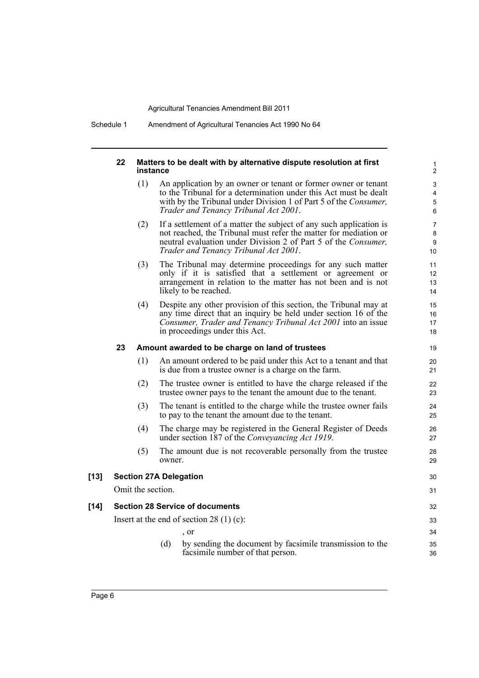Schedule 1 Amendment of Agricultural Tenancies Act 1990 No 64

|        | 22 | instance                                  |        | Matters to be dealt with by alternative dispute resolution at first                                                                                                                                                                               | 1<br>$\overline{c}$            |
|--------|----|-------------------------------------------|--------|---------------------------------------------------------------------------------------------------------------------------------------------------------------------------------------------------------------------------------------------------|--------------------------------|
|        |    | (1)                                       |        | An application by an owner or tenant or former owner or tenant<br>to the Tribunal for a determination under this Act must be dealt<br>with by the Tribunal under Division 1 of Part 5 of the Consumer,<br>Trader and Tenancy Tribunal Act 2001.   | 3<br>4<br>5<br>6               |
|        |    | (2)                                       |        | If a settlement of a matter the subject of any such application is<br>not reached, the Tribunal must refer the matter for mediation or<br>neutral evaluation under Division 2 of Part 5 of the Consumer,<br>Trader and Tenancy Tribunal Act 2001. | $\overline{7}$<br>8<br>9<br>10 |
|        |    | (3)                                       |        | The Tribunal may determine proceedings for any such matter<br>only if it is satisfied that a settlement or agreement or<br>arrangement in relation to the matter has not been and is not<br>likely to be reached.                                 | 11<br>12<br>13<br>14           |
|        |    | (4)                                       |        | Despite any other provision of this section, the Tribunal may at<br>any time direct that an inquiry be held under section 16 of the<br>Consumer, Trader and Tenancy Tribunal Act 2001 into an issue<br>in proceedings under this Act.             | 15<br>16<br>17<br>18           |
|        | 23 |                                           |        | Amount awarded to be charge on land of trustees                                                                                                                                                                                                   | 19                             |
|        |    | (1)                                       |        | An amount ordered to be paid under this Act to a tenant and that<br>is due from a trustee owner is a charge on the farm.                                                                                                                          | 20<br>21                       |
|        |    | (2)                                       |        | The trustee owner is entitled to have the charge released if the<br>trustee owner pays to the tenant the amount due to the tenant.                                                                                                                | 22<br>23                       |
|        |    | (3)                                       |        | The tenant is entitled to the charge while the trustee owner fails<br>to pay to the tenant the amount due to the tenant.                                                                                                                          | 24<br>25                       |
|        |    | (4)                                       |        | The charge may be registered in the General Register of Deeds<br>under section 187 of the Conveyancing Act 1919.                                                                                                                                  | 26<br>27                       |
|        |    | (5)                                       | owner. | The amount due is not recoverable personally from the trustee                                                                                                                                                                                     | 28<br>29                       |
| [13]   |    |                                           |        | <b>Section 27A Delegation</b>                                                                                                                                                                                                                     | 30                             |
|        |    | Omit the section.                         |        |                                                                                                                                                                                                                                                   | 31                             |
| $[14]$ |    |                                           |        | <b>Section 28 Service of documents</b>                                                                                                                                                                                                            | 32                             |
|        |    | Insert at the end of section $28(1)(c)$ : |        |                                                                                                                                                                                                                                                   |                                |
|        |    |                                           |        | , or                                                                                                                                                                                                                                              | 34                             |
|        |    |                                           | (d)    | by sending the document by facsimile transmission to the<br>facsimile number of that person.                                                                                                                                                      | 35<br>36                       |
|        |    |                                           |        |                                                                                                                                                                                                                                                   |                                |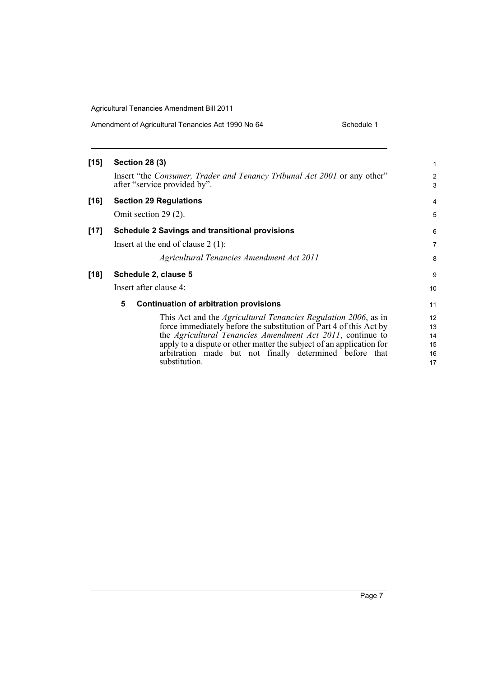| Amendment of Agricultural Tenancies Act 1990 No 64 | Schedule 1 |
|----------------------------------------------------|------------|
|----------------------------------------------------|------------|

| [15] | <b>Section 28 (3)</b>                                                                                                                                                                                                                                                                                                                                          | 1                                               |
|------|----------------------------------------------------------------------------------------------------------------------------------------------------------------------------------------------------------------------------------------------------------------------------------------------------------------------------------------------------------------|-------------------------------------------------|
|      | Insert "the Consumer, Trader and Tenancy Tribunal Act 2001 or any other"<br>after "service provided by".                                                                                                                                                                                                                                                       | 2<br>3                                          |
| [16] | <b>Section 29 Regulations</b>                                                                                                                                                                                                                                                                                                                                  | 4                                               |
|      | Omit section 29 (2).                                                                                                                                                                                                                                                                                                                                           | 5                                               |
| [17] | <b>Schedule 2 Savings and transitional provisions</b>                                                                                                                                                                                                                                                                                                          | 6                                               |
|      | Insert at the end of clause $2(1)$ :                                                                                                                                                                                                                                                                                                                           | 7                                               |
|      | Agricultural Tenancies Amendment Act 2011                                                                                                                                                                                                                                                                                                                      | 8                                               |
| [18] | Schedule 2, clause 5                                                                                                                                                                                                                                                                                                                                           | 9                                               |
|      | Insert after clause 4:                                                                                                                                                                                                                                                                                                                                         | 10                                              |
|      | 5<br><b>Continuation of arbitration provisions</b>                                                                                                                                                                                                                                                                                                             | 11                                              |
|      | This Act and the <i>Agricultural Tenancies Regulation 2006</i> , as in<br>force immediately before the substitution of Part 4 of this Act by<br>the Agricultural Tenancies Amendment Act 2011, continue to<br>apply to a dispute or other matter the subject of an application for<br>arbitration made but not finally determined before that<br>substitution. | $12 \overline{ }$<br>13<br>14<br>15<br>16<br>17 |